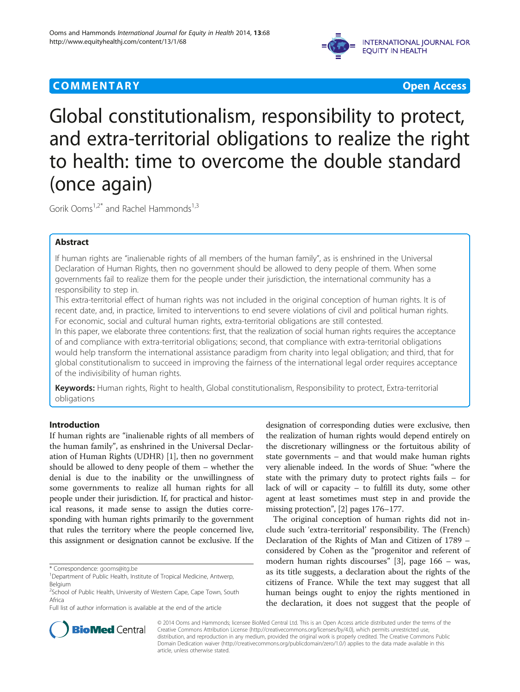

# **COMMENTARY COMMENTARY Open Access**

Global constitutionalism, responsibility to protect, and extra-territorial obligations to realize the right to health: time to overcome the double standard (once again)

Gorik Ooms<sup>1,2\*</sup> and Rachel Hammonds<sup>1,3</sup>

## Abstract

If human rights are "inalienable rights of all members of the human family", as is enshrined in the Universal Declaration of Human Rights, then no government should be allowed to deny people of them. When some governments fail to realize them for the people under their jurisdiction, the international community has a responsibility to step in.

This extra-territorial effect of human rights was not included in the original conception of human rights. It is of recent date, and, in practice, limited to interventions to end severe violations of civil and political human rights. For economic, social and cultural human rights, extra-territorial obligations are still contested.

In this paper, we elaborate three contentions: first, that the realization of social human rights requires the acceptance of and compliance with extra-territorial obligations; second, that compliance with extra-territorial obligations would help transform the international assistance paradigm from charity into legal obligation; and third, that for global constitutionalism to succeed in improving the fairness of the international legal order requires acceptance of the indivisibility of human rights.

Keywords: Human rights, Right to health, Global constitutionalism, Responsibility to protect, Extra-territorial obligations

## Introduction

If human rights are "inalienable rights of all members of the human family", as enshrined in the Universal Declaration of Human Rights (UDHR) [[1\]](#page-4-0), then no government should be allowed to deny people of them – whether the denial is due to the inability or the unwillingness of some governments to realize all human rights for all people under their jurisdiction. If, for practical and historical reasons, it made sense to assign the duties corresponding with human rights primarily to the government that rules the territory where the people concerned live, this assignment or designation cannot be exclusive. If the

Full list of author information is available at the end of the article

designation of corresponding duties were exclusive, then the realization of human rights would depend entirely on the discretionary willingness or the fortuitous ability of state governments – and that would make human rights very alienable indeed. In the words of Shue: "where the state with the primary duty to protect rights fails – for lack of will or capacity – to fulfill its duty, some other agent at least sometimes must step in and provide the missing protection", [\[2](#page-4-0)] pages 176–177.

The original conception of human rights did not include such 'extra-territorial' responsibility. The (French) Declaration of the Rights of Man and Citizen of 1789 – considered by Cohen as the "progenitor and referent of modern human rights discourses" [\[3](#page-4-0)], page 166 – was, as its title suggests, a declaration about the rights of the citizens of France. While the text may suggest that all human beings ought to enjoy the rights mentioned in the declaration, it does not suggest that the people of



© 2014 Ooms and Hammonds; licensee BioMed Central Ltd. This is an Open Access article distributed under the terms of the Creative Commons Attribution License (<http://creativecommons.org/licenses/by/4.0>), which permits unrestricted use, distribution, and reproduction in any medium, provided the original work is properly credited. The Creative Commons Public Domain Dedication waiver [\(http://creativecommons.org/publicdomain/zero/1.0/\)](http://creativecommons.org/publicdomain/zero/1.0/) applies to the data made available in this article, unless otherwise stated.

<sup>\*</sup> Correspondence: [gooms@itg.be](mailto:gooms@itg.be) <sup>1</sup>

<sup>&</sup>lt;sup>1</sup>Department of Public Health, Institute of Tropical Medicine, Antwerp, Belgium

<sup>&</sup>lt;sup>2</sup>School of Public Health, University of Western Cape, Cape Town, South Africa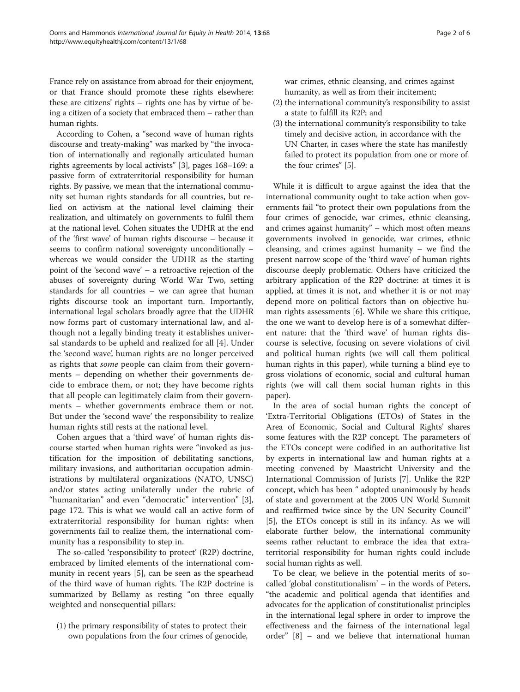France rely on assistance from abroad for their enjoyment, or that France should promote these rights elsewhere: these are citizens' rights – rights one has by virtue of being a citizen of a society that embraced them – rather than human rights.

According to Cohen, a "second wave of human rights discourse and treaty-making" was marked by "the invocation of internationally and regionally articulated human rights agreements by local activists" [[3](#page-4-0)], pages 168–169: a passive form of extraterritorial responsibility for human rights. By passive, we mean that the international community set human rights standards for all countries, but relied on activism at the national level claiming their realization, and ultimately on governments to fulfil them at the national level. Cohen situates the UDHR at the end of the 'first wave' of human rights discourse – because it seems to confirm national sovereignty unconditionally – whereas we would consider the UDHR as the starting point of the 'second wave' – a retroactive rejection of the abuses of sovereignty during World War Two, setting standards for all countries – we can agree that human rights discourse took an important turn. Importantly, international legal scholars broadly agree that the UDHR now forms part of customary international law, and although not a legally binding treaty it establishes universal standards to be upheld and realized for all [\[4](#page-4-0)]. Under the 'second wave', human rights are no longer perceived as rights that some people can claim from their governments – depending on whether their governments decide to embrace them, or not; they have become rights that all people can legitimately claim from their governments – whether governments embrace them or not. But under the 'second wave' the responsibility to realize human rights still rests at the national level.

Cohen argues that a 'third wave' of human rights discourse started when human rights were "invoked as justification for the imposition of debilitating sanctions, military invasions, and authoritarian occupation administrations by multilateral organizations (NATO, UNSC) and/or states acting unilaterally under the rubric of "humanitarian" and even "democratic" intervention" [\[3](#page-4-0)], page 172. This is what we would call an active form of extraterritorial responsibility for human rights: when governments fail to realize them, the international community has a responsibility to step in.

The so-called 'responsibility to protect' (R2P) doctrine, embraced by limited elements of the international community in recent years [[5](#page-4-0)], can be seen as the spearhead of the third wave of human rights. The R2P doctrine is summarized by Bellamy as resting "on three equally weighted and nonsequential pillars:

(1) the primary responsibility of states to protect their own populations from the four crimes of genocide, war crimes, ethnic cleansing, and crimes against humanity, as well as from their incitement;

- (2) the international community's responsibility to assist a state to fulfill its R2P; and
- (3) the international community's responsibility to take timely and decisive action, in accordance with the UN Charter, in cases where the state has manifestly failed to protect its population from one or more of the four crimes" [[5\]](#page-4-0).

While it is difficult to argue against the idea that the international community ought to take action when governments fail "to protect their own populations from the four crimes of genocide, war crimes, ethnic cleansing, and crimes against humanity" – which most often means governments involved in genocide, war crimes, ethnic cleansing, and crimes against humanity – we find the present narrow scope of the 'third wave' of human rights discourse deeply problematic. Others have criticized the arbitrary application of the R2P doctrine: at times it is applied, at times it is not, and whether it is or not may depend more on political factors than on objective human rights assessments [\[6](#page-4-0)]. While we share this critique, the one we want to develop here is of a somewhat different nature: that the 'third wave' of human rights discourse is selective, focusing on severe violations of civil and political human rights (we will call them political human rights in this paper), while turning a blind eye to gross violations of economic, social and cultural human rights (we will call them social human rights in this paper).

In the area of social human rights the concept of 'Extra-Territorial Obligations (ETOs) of States in the Area of Economic, Social and Cultural Rights' shares some features with the R2P concept. The parameters of the ETOs concept were codified in an authoritative list by experts in international law and human rights at a meeting convened by Maastricht University and the International Commission of Jurists [[7\]](#page-4-0). Unlike the R2P concept, which has been " adopted unanimously by heads of state and government at the 2005 UN World Summit and reaffirmed twice since by the UN Security Council" [[5\]](#page-4-0), the ETOs concept is still in its infancy. As we will elaborate further below, the international community seems rather reluctant to embrace the idea that extraterritorial responsibility for human rights could include social human rights as well.

To be clear, we believe in the potential merits of socalled 'global constitutionalism' – in the words of Peters, "the academic and political agenda that identifies and advocates for the application of constitutionalist principles in the international legal sphere in order to improve the effectiveness and the fairness of the international legal order" [\[8](#page-4-0)] – and we believe that international human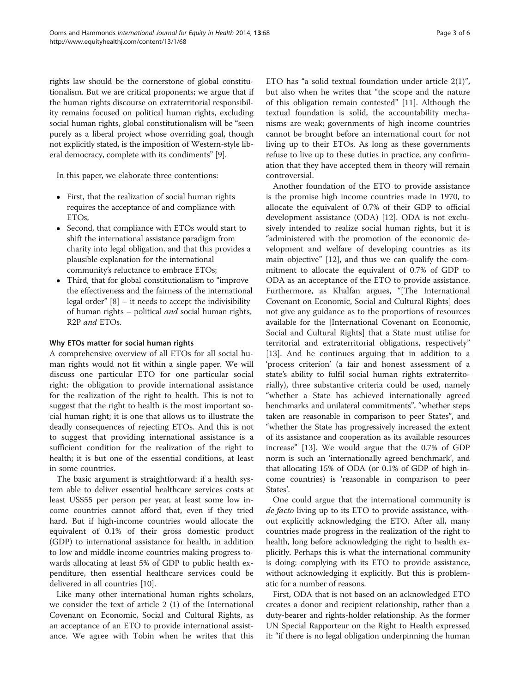rights law should be the cornerstone of global constitutionalism. But we are critical proponents; we argue that if the human rights discourse on extraterritorial responsibility remains focused on political human rights, excluding social human rights, global constitutionalism will be "seen purely as a liberal project whose overriding goal, though not explicitly stated, is the imposition of Western-style liberal democracy, complete with its condiments" [[9](#page-4-0)].

In this paper, we elaborate three contentions:

- First, that the realization of social human rights requires the acceptance of and compliance with ETOs;
- Second, that compliance with ETOs would start to shift the international assistance paradigm from charity into legal obligation, and that this provides a plausible explanation for the international community's reluctance to embrace ETOs;
- Third, that for global constitutionalism to "improve the effectiveness and the fairness of the international legal order"  $[8]$  $[8]$  – it needs to accept the indivisibility of human rights – political and social human rights, R2P and ETOs.

## Why ETOs matter for social human rights

A comprehensive overview of all ETOs for all social human rights would not fit within a single paper. We will discuss one particular ETO for one particular social right: the obligation to provide international assistance for the realization of the right to health. This is not to suggest that the right to health is the most important social human right; it is one that allows us to illustrate the deadly consequences of rejecting ETOs. And this is not to suggest that providing international assistance is a sufficient condition for the realization of the right to health; it is but one of the essential conditions, at least in some countries.

The basic argument is straightforward: if a health system able to deliver essential healthcare services costs at least US\$55 per person per year, at least some low income countries cannot afford that, even if they tried hard. But if high-income countries would allocate the equivalent of 0.1% of their gross domestic product (GDP) to international assistance for health, in addition to low and middle income countries making progress towards allocating at least 5% of GDP to public health expenditure, then essential healthcare services could be delivered in all countries [[10\]](#page-5-0).

Like many other international human rights scholars, we consider the text of article 2 (1) of the International Covenant on Economic, Social and Cultural Rights, as an acceptance of an ETO to provide international assistance. We agree with Tobin when he writes that this ETO has "a solid textual foundation under article 2(1)", but also when he writes that "the scope and the nature of this obligation remain contested" [[11](#page-5-0)]. Although the textual foundation is solid, the accountability mechanisms are weak; governments of high income countries cannot be brought before an international court for not living up to their ETOs. As long as these governments refuse to live up to these duties in practice, any confirmation that they have accepted them in theory will remain controversial.

Another foundation of the ETO to provide assistance is the promise high income countries made in 1970, to allocate the equivalent of 0.7% of their GDP to official development assistance (ODA) [[12\]](#page-5-0). ODA is not exclusively intended to realize social human rights, but it is "administered with the promotion of the economic development and welfare of developing countries as its main objective" [\[12\]](#page-5-0), and thus we can qualify the commitment to allocate the equivalent of 0.7% of GDP to ODA as an acceptance of the ETO to provide assistance. Furthermore, as Khalfan argues, "[The International Covenant on Economic, Social and Cultural Rights] does not give any guidance as to the proportions of resources available for the [International Covenant on Economic, Social and Cultural Rights] that a State must utilise for territorial and extraterritorial obligations, respectively" [[13\]](#page-5-0). And he continues arguing that in addition to a 'process criterion' (a fair and honest assessment of a state's ability to fulfil social human rights extraterritorially), three substantive criteria could be used, namely "whether a State has achieved internationally agreed benchmarks and unilateral commitments", "whether steps taken are reasonable in comparison to peer States", and "whether the State has progressively increased the extent of its assistance and cooperation as its available resources increase" [[13](#page-5-0)]. We would argue that the 0.7% of GDP norm is such an 'internationally agreed benchmark', and that allocating 15% of ODA (or 0.1% of GDP of high income countries) is 'reasonable in comparison to peer States'.

One could argue that the international community is de facto living up to its ETO to provide assistance, without explicitly acknowledging the ETO. After all, many countries made progress in the realization of the right to health, long before acknowledging the right to health explicitly. Perhaps this is what the international community is doing: complying with its ETO to provide assistance, without acknowledging it explicitly. But this is problematic for a number of reasons.

First, ODA that is not based on an acknowledged ETO creates a donor and recipient relationship, rather than a duty-bearer and rights-holder relationship. As the former UN Special Rapporteur on the Right to Health expressed it: "if there is no legal obligation underpinning the human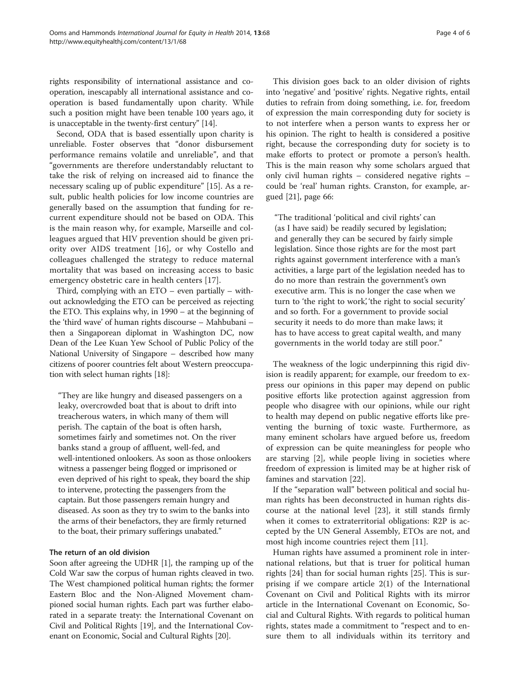rights responsibility of international assistance and cooperation, inescapably all international assistance and cooperation is based fundamentally upon charity. While such a position might have been tenable 100 years ago, it is unacceptable in the twenty-first century" [\[14\]](#page-5-0).

Second, ODA that is based essentially upon charity is unreliable. Foster observes that "donor disbursement performance remains volatile and unreliable", and that "governments are therefore understandably reluctant to take the risk of relying on increased aid to finance the necessary scaling up of public expenditure" [[15\]](#page-5-0). As a result, public health policies for low income countries are generally based on the assumption that funding for recurrent expenditure should not be based on ODA. This is the main reason why, for example, Marseille and colleagues argued that HIV prevention should be given priority over AIDS treatment [\[16](#page-5-0)], or why Costello and colleagues challenged the strategy to reduce maternal mortality that was based on increasing access to basic emergency obstetric care in health centers [[17\]](#page-5-0).

Third, complying with an  $ETO -$  even partially  $-$  without acknowledging the ETO can be perceived as rejecting the ETO. This explains why, in 1990 – at the beginning of the 'third wave' of human rights discourse – Mahbubani – then a Singaporean diplomat in Washington DC, now Dean of the Lee Kuan Yew School of Public Policy of the National University of Singapore – described how many citizens of poorer countries felt about Western preoccupation with select human rights [[18](#page-5-0)]:

"They are like hungry and diseased passengers on a leaky, overcrowded boat that is about to drift into treacherous waters, in which many of them will perish. The captain of the boat is often harsh, sometimes fairly and sometimes not. On the river banks stand a group of affluent, well-fed, and well-intentioned onlookers. As soon as those onlookers witness a passenger being flogged or imprisoned or even deprived of his right to speak, they board the ship to intervene, protecting the passengers from the captain. But those passengers remain hungry and diseased. As soon as they try to swim to the banks into the arms of their benefactors, they are firmly returned to the boat, their primary sufferings unabated."

## The return of an old division

Soon after agreeing the UDHR [[1\]](#page-4-0), the ramping up of the Cold War saw the corpus of human rights cleaved in two. The West championed political human rights; the former Eastern Bloc and the Non-Aligned Movement championed social human rights. Each part was further elaborated in a separate treaty: the International Covenant on Civil and Political Rights [[19](#page-5-0)], and the International Covenant on Economic, Social and Cultural Rights [\[20](#page-5-0)].

This division goes back to an older division of rights into 'negative' and 'positive' rights. Negative rights, entail duties to refrain from doing something, i.e. for, freedom of expression the main corresponding duty for society is to not interfere when a person wants to express her or his opinion. The right to health is considered a positive right, because the corresponding duty for society is to make efforts to protect or promote a person's health. This is the main reason why some scholars argued that only civil human rights – considered negative rights – could be 'real' human rights. Cranston, for example, argued [\[21](#page-5-0)], page 66:

"The traditional 'political and civil rights' can (as I have said) be readily secured by legislation; and generally they can be secured by fairly simple legislation. Since those rights are for the most part rights against government interference with a man's activities, a large part of the legislation needed has to do no more than restrain the government's own executive arm. This is no longer the case when we turn to 'the right to work', 'the right to social security' and so forth. For a government to provide social security it needs to do more than make laws; it has to have access to great capital wealth, and many governments in the world today are still poor."

The weakness of the logic underpinning this rigid division is readily apparent; for example, our freedom to express our opinions in this paper may depend on public positive efforts like protection against aggression from people who disagree with our opinions, while our right to health may depend on public negative efforts like preventing the burning of toxic waste. Furthermore, as many eminent scholars have argued before us, freedom of expression can be quite meaningless for people who are starving [\[2](#page-4-0)], while people living in societies where freedom of expression is limited may be at higher risk of famines and starvation [[22\]](#page-5-0).

If the "separation wall" between political and social human rights has been deconstructed in human rights discourse at the national level [\[23](#page-5-0)], it still stands firmly when it comes to extraterritorial obligations: R2P is accepted by the UN General Assembly, ETOs are not, and most high income countries reject them [\[11](#page-5-0)].

Human rights have assumed a prominent role in international relations, but that is truer for political human rights [\[24](#page-5-0)] than for social human rights [[25](#page-5-0)]. This is surprising if we compare article 2(1) of the International Covenant on Civil and Political Rights with its mirror article in the International Covenant on Economic, Social and Cultural Rights. With regards to political human rights, states made a commitment to "respect and to ensure them to all individuals within its territory and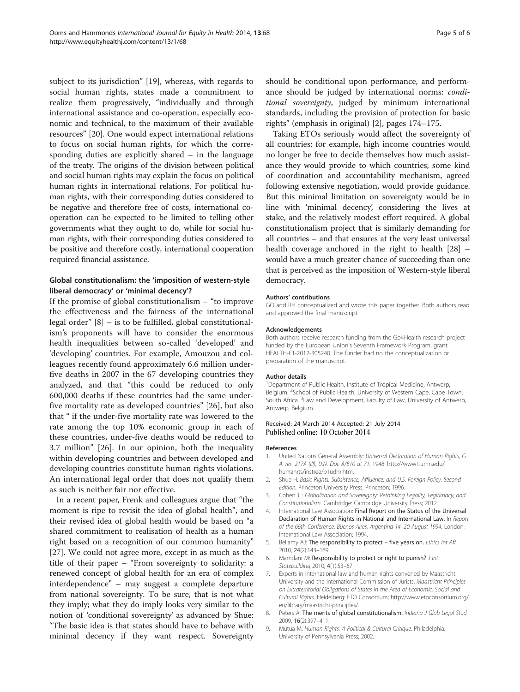<span id="page-4-0"></span>subject to its jurisdiction" [\[19\]](#page-5-0), whereas, with regards to social human rights, states made a commitment to realize them progressively, "individually and through international assistance and co-operation, especially economic and technical, to the maximum of their available resources" [[20\]](#page-5-0). One would expect international relations to focus on social human rights, for which the corresponding duties are explicitly shared – in the language of the treaty. The origins of the division between political and social human rights may explain the focus on political human rights in international relations. For political human rights, with their corresponding duties considered to be negative and therefore free of costs, international cooperation can be expected to be limited to telling other governments what they ought to do, while for social human rights, with their corresponding duties considered to be positive and therefore costly, international cooperation required financial assistance.

## Global constitutionalism: the 'imposition of western-style liberal democracy' or 'minimal decency'?

If the promise of global constitutionalism – "to improve the effectiveness and the fairness of the international legal order" [8] – is to be fulfilled, global constitutionalism's proponents will have to consider the enormous health inequalities between so-called 'developed' and 'developing' countries. For example, Amouzou and colleagues recently found approximately 6.6 million underfive deaths in 2007 in the 67 developing countries they analyzed, and that "this could be reduced to only 600,000 deaths if these countries had the same underfive mortality rate as developed countries" [\[26](#page-5-0)], but also that " if the under-five mortality rate was lowered to the rate among the top 10% economic group in each of these countries, under-five deaths would be reduced to 3.7 million" [\[26](#page-5-0)]. In our opinion, both the inequality within developing countries and between developed and developing countries constitute human rights violations. An international legal order that does not qualify them as such is neither fair nor effective.

In a recent paper, Frenk and colleagues argue that "the moment is ripe to revisit the idea of global health", and their revised idea of global health would be based on "a shared commitment to realisation of health as a human right based on a recognition of our common humanity" [[27\]](#page-5-0). We could not agree more, except in as much as the title of their paper – "From sovereignty to solidarity: a renewed concept of global health for an era of complex interdependence" – may suggest a complete departure from national sovereignty. To be sure, that is not what they imply; what they do imply looks very similar to the notion of 'conditional sovereignty' as advanced by Shue: "The basic idea is that states should have to behave with minimal decency if they want respect. Sovereignty

should be conditional upon performance, and performance should be judged by international norms: conditional sovereignty, judged by minimum international standards, including the provision of protection for basic rights" (emphasis in original) [2], pages 174–175.

Taking ETOs seriously would affect the sovereignty of all countries: for example, high income countries would no longer be free to decide themselves how much assistance they would provide to which countries; some kind of coordination and accountability mechanism, agreed following extensive negotiation, would provide guidance. But this minimal limitation on sovereignty would be in line with 'minimal decency', considering the lives at stake, and the relatively modest effort required. A global constitutionalism project that is similarly demanding for all countries – and that ensures at the very least universal health coverage anchored in the right to health [\[28\]](#page-5-0) – would have a much greater chance of succeeding than one that is perceived as the imposition of Western-style liberal democracy.

### Authors' contributions

GO and RH conceptualized and wrote this paper together. Both authors read and approved the final manuscript.

#### Acknowledgements

Both authors receive research funding from the Go4Health research project funded by the European Union's Seventh Framework Program, grant HEALTH-F1-2012-305240. The funder had no the conceptualization or preparation of the manuscript.

#### Author details

<sup>1</sup>Department of Public Health, Institute of Tropical Medicine, Antwerp, Belgium. <sup>2</sup>School of Public Health, University of Western Cape, Cape Town South Africa. <sup>3</sup> Law and Development, Faculty of Law, University of Antwerp, Antwerp, Belgium.

#### Received: 24 March 2014 Accepted: 21 July 2014 Published online: 10 October 2014

#### References

- 1. United Nations General Assembly: Universal Declaration of Human Rights, G. A. res. 217A (III), U.N. Doc A/810 at 71. 1948. [http://www1.umn.edu/](http://www1.umn.edu/humanrts/instree/b1udhr.htm) [humanrts/instree/b1udhr.htm](http://www1.umn.edu/humanrts/instree/b1udhr.htm).
- 2. Shue H: Basic Rights: Subsistence, Affluence, and U.S. Foreign Policy. Second Edition. Princeton University Press: Princeton; 1996.
- 3. Cohen JL: Globalization and Sovereignty: Rethinking Legality, Legitimacy, and Constitutionalism. Cambridge: Cambridge University Press; 2012.
- 4. International Law Association: Final Report on the Status of the Universal Declaration of Human Rights in National and International Law. In Report of the 66th Conference. Buenos Aires, Argentina 14–20 August 1994. London: International Law Association; 1994.
- 5. Bellamy AJ: The responsibility to protect five years on. Ethics Int Aff 2010, 24(2):143–169.
- 6. Mamdani M: Responsibility to protect or right to punish? J Int Statebuilding 2010, 4(1):53–67.
- Experts in international law and human rights convened by Maastricht University and the International Commission of Jurists: Maastricht Principles on Extraterritorial Obligations of States in the Area of Economic, Social and Cultural Rights. Heidelberg: ETO Consortium; [http://www.etoconsortium.org/](http://www.etoconsortium.org/en/library/maastricht-principles/) [en/library/maastricht-principles/](http://www.etoconsortium.org/en/library/maastricht-principles/).
- 8. Peters A: The merits of global constitutionalism. Indiana J Glob Legal Stud 2009, 16(2):397–411.
- 9. Mutua M: Human Rights: A Political & Cultural Critique. Philadelphia: University of Pennsylvania Press; 2002.